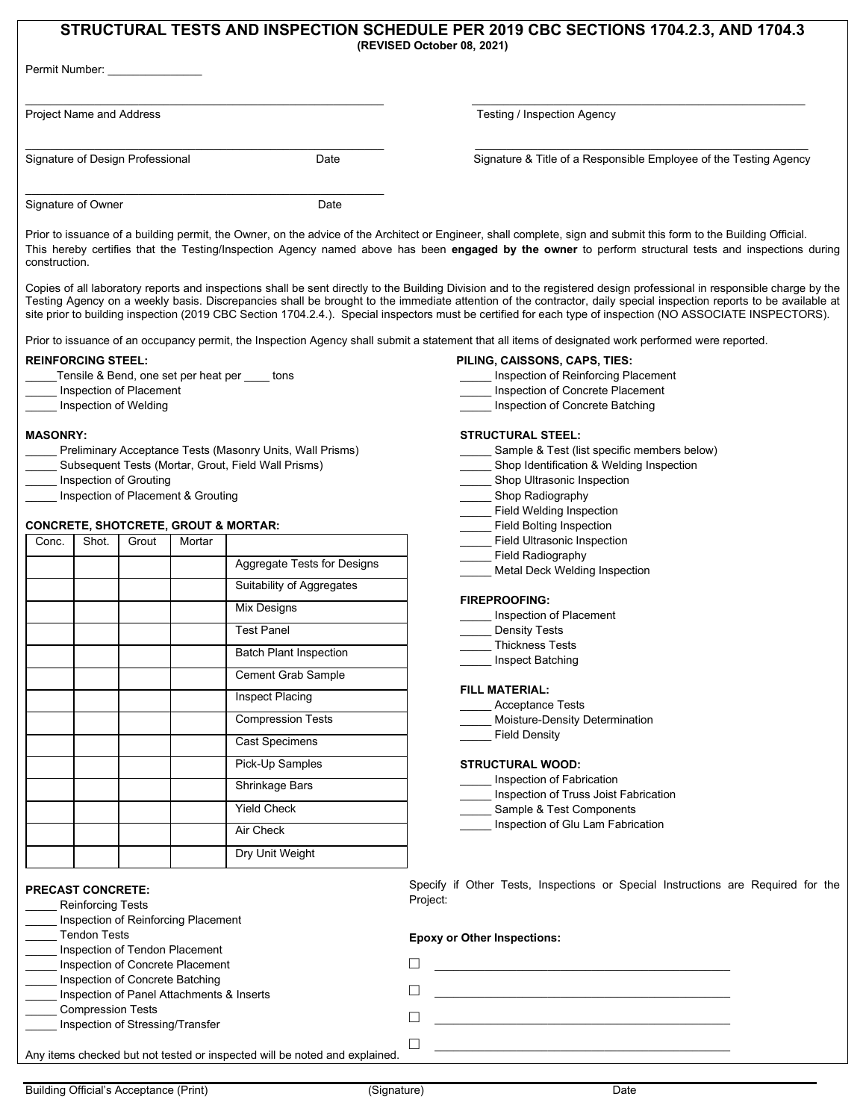# **STRUCTURAL TESTS AND INSPECTION SCHEDULE PER 2019 CBC SECTIONS 1704.2.3, AND 1704.3 (REVISED October 08, 2021)**

| Permit Number:                   |      |                                                                   |
|----------------------------------|------|-------------------------------------------------------------------|
| Project Name and Address         |      | Testing / Inspection Agency                                       |
| Signature of Design Professional | Date | Signature & Title of a Responsible Employee of the Testing Agency |
| Signature of Owner               | Date |                                                                   |

Prior to issuance of a building permit, the Owner, on the advice of the Architect or Engineer, shall complete, sign and submit this form to the Building Official. This hereby certifies that the Testing/Inspection Agency named above has been **engaged by the owner** to perform structural tests and inspections during construction.

Copies of all laboratory reports and inspections shall be sent directly to the Building Division and to the registered design professional in responsible charge by the Testing Agency on a weekly basis. Discrepancies shall be brought to the immediate attention of the contractor, daily special inspection reports to be available at site prior to building inspection (2019 CBC Section 1704.2.4.). Special inspectors must be certified for each type of inspection (NO ASSOCIATE INSPECTORS).

Prior to issuance of an occupancy permit, the Inspection Agency shall submit a statement that all items of designated work performed were reported.

### **REINFORCING STEEL:**

- Tensile & Bend, one set per heat per tons
- Inspection of Placement
- \_\_\_\_\_ Inspection of Welding

#### **MASONRY:**

- Preliminary Acceptance Tests (Masonry Units, Wall Prisms)
- Subsequent Tests (Mortar, Grout, Field Wall Prisms)
- \_\_\_\_\_ Inspection of Grouting
- Inspection of Placement & Grouting

# **CONCRETE, SHOTCRETE, GROUT & MORTAR:**

| Conc. | Shot. | Grout | Mortar |                               |
|-------|-------|-------|--------|-------------------------------|
|       |       |       |        | Aggregate Tests for Designs   |
|       |       |       |        | Suitability of Aggregates     |
|       |       |       |        | Mix Designs                   |
|       |       |       |        | <b>Test Panel</b>             |
|       |       |       |        | <b>Batch Plant Inspection</b> |
|       |       |       |        | <b>Cement Grab Sample</b>     |
|       |       |       |        | Inspect Placing               |
|       |       |       |        | <b>Compression Tests</b>      |
|       |       |       |        | <b>Cast Specimens</b>         |
|       |       |       |        | Pick-Up Samples               |
|       |       |       |        | Shrinkage Bars                |
|       |       |       |        | <b>Yield Check</b>            |
|       |       |       |        | Air Check                     |
|       |       |       |        | Dry Unit Weight               |

# **PRECAST CONCRETE:**

Reinforcing Tests

- Inspection of Reinforcing Placement
- \_\_\_\_\_ Tendon Tests
- Inspection of Tendon Placement
- \_\_\_\_\_ Inspection of Concrete Placement Inspection of Concrete Batching
- \_\_\_\_\_ Inspection of Panel Attachments & Inserts
- \_\_\_\_\_ Compression Tests
- \_\_\_\_\_ Inspection of Stressing/Transfer

Any items checked but not tested or inspected will be

# **PILING, CAISSONS, CAPS, TIES:**

- \_\_\_\_\_ Inspection of Reinforcing Placement
- Inspection of Concrete Placement
- Inspection of Concrete Batching

# **STRUCTURAL STEEL:**

- Sample & Test (list specific members below)
- Shop Identification & Welding Inspection
- Shop Ultrasonic Inspection
- Shop Radiography
- Field Welding Inspection
- Field Bolting Inspection
- Field Ultrasonic Inspection
- Field Radiography
- Metal Deck Welding Inspection

#### **FIREPROOFING:**

- \_\_\_\_\_ Inspection of Placement
- Density Tests
- \_\_\_\_\_ Thickness Tests
- \_\_\_\_\_ Inspect Batching

#### **FILL MATERIAL:**

- \_\_\_\_\_ Acceptance Tests
- Moisture-Density Determination
- \_\_\_\_\_ Field Density

#### **STRUCTURAL WOOD:**

- \_\_\_\_\_ Inspection of Fabrication
- Inspection of Truss Joist Fabrication
- Sample & Test Components
- \_\_\_\_\_ Inspection of Glu Lam Fabrication

Specify if Other Tests, Inspections or Special Instructions are Required for the Project:

|                      | <b>Epoxy or Other Inspections:</b> |
|----------------------|------------------------------------|
|                      |                                    |
|                      |                                    |
|                      |                                    |
|                      |                                    |
| noted and explained. |                                    |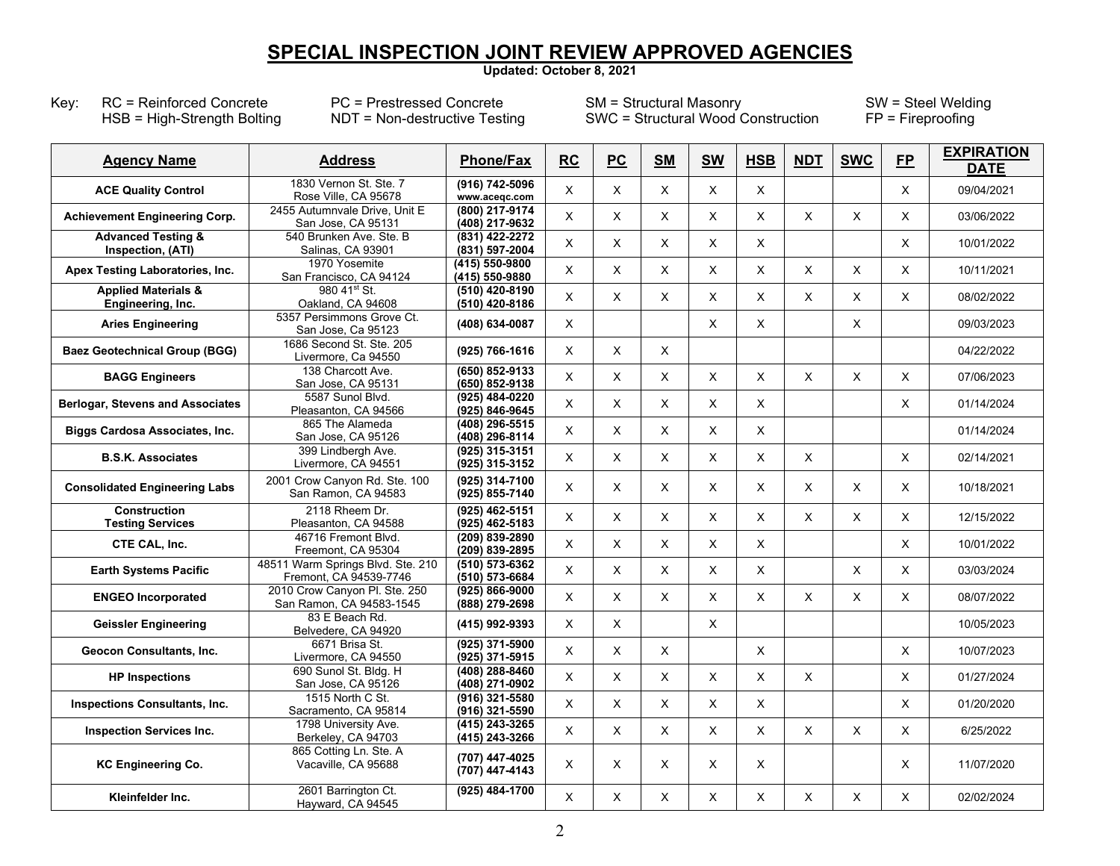# **SPECIAL INSPECTION JOINT REVIEW APPROVED AGENCIES**

**Updated: October 8, 2021**

Key: RC = Reinforced Concrete PC = Prestressed Concrete SM = Structural Masonry SW = Steel Welding<br>HSB = High-Strength Bolting NDT = Non-destructive Testing SWC = Structural Wood Construction FP = Fireproofing SWC = Structural Wood Construction

| <b>Agency Name</b>                                  | <b>Address</b>                                              | <b>Phone/Fax</b>                   | <b>RC</b>                 | <b>PC</b> | <b>SM</b>    | <b>SW</b>    | <b>HSB</b> | <b>NDT</b>     | <b>SWC</b> | FP                        | <b>EXPIRATION</b><br><b>DATE</b> |
|-----------------------------------------------------|-------------------------------------------------------------|------------------------------------|---------------------------|-----------|--------------|--------------|------------|----------------|------------|---------------------------|----------------------------------|
| <b>ACE Quality Control</b>                          | 1830 Vernon St. Ste. 7<br>Rose Ville, CA 95678              | (916) 742-5096<br>www.acegc.com    | $\mathsf{X}$              | X         | X            | $\times$     | X          |                |            | $\boldsymbol{\mathsf{X}}$ | 09/04/2021                       |
| <b>Achievement Engineering Corp.</b>                | 2455 Autumnvale Drive, Unit E<br>San Jose, CA 95131         | (800) 217-9174<br>(408) 217-9632   | X                         | X         | X            | X            | X          | X              | X          | X                         | 03/06/2022                       |
| <b>Advanced Testing &amp;</b><br>Inspection, (ATI)  | 540 Brunken Ave. Ste. B<br>Salinas, CA 93901                | (831) 422-2272<br>(831) 597-2004   | X                         | X         | X            | X            | X          |                |            | $\times$                  | 10/01/2022                       |
| Apex Testing Laboratories, Inc.                     | 1970 Yosemite<br>San Francisco, CA 94124                    | (415) 550-9800<br>(415) 550-9880   | $\pmb{\times}$            | X         | $\mathsf{X}$ | X            | X          | X              | X          | X                         | 10/11/2021                       |
| <b>Applied Materials &amp;</b><br>Engineering, Inc. | 980 41 <sup>st</sup> St.<br>Oakland, CA 94608               | (510) 420-8190<br>$(510)$ 420-8186 | X                         | X         | X            | X            | X          | X              | X          | $\mathsf X$               | 08/02/2022                       |
| <b>Aries Engineering</b>                            | 5357 Persimmons Grove Ct.<br>San Jose, Ca 95123             | (408) 634-0087                     | $\boldsymbol{\mathsf{X}}$ |           |              | $\mathsf{X}$ | X          |                | X          |                           | 09/03/2023                       |
| <b>Baez Geotechnical Group (BGG)</b>                | 1686 Second St. Ste. 205<br>Livermore, Ca 94550             | (925) 766-1616                     | $\boldsymbol{\mathsf{X}}$ | X         | $\mathsf{X}$ |              |            |                |            |                           | 04/22/2022                       |
| <b>BAGG Engineers</b>                               | 138 Charcott Ave.<br>San Jose, CA 95131                     | (650) 852-9133<br>(650) 852-9138   | $\mathsf{X}$              | X         | X            | $\times$     | X          | X              | X          | $\times$                  | 07/06/2023                       |
| <b>Berlogar, Stevens and Associates</b>             | 5587 Sunol Blvd.<br>Pleasanton, CA 94566                    | (925) 484-0220<br>(925) 846-9645   | X                         | X         | X            | X            | X          |                |            | X                         | 01/14/2024                       |
| Biggs Cardosa Associates, Inc.                      | 865 The Alameda<br>San Jose, CA 95126                       | (408) 296-5515<br>(408) 296-8114   | $\mathsf{X}$              | X         | X            | X            | X          |                |            |                           | 01/14/2024                       |
| <b>B.S.K. Associates</b>                            | 399 Lindbergh Ave.<br>Livermore, CA 94551                   | (925) 315-3151<br>(925) 315-3152   | $\mathsf{X}$              | X         | X            | X            | X          | X              |            | $\times$                  | 02/14/2021                       |
| <b>Consolidated Engineering Labs</b>                | 2001 Crow Canyon Rd. Ste. 100<br>San Ramon, CA 94583        | (925) 314-7100<br>(925) 855-7140   | X                         | X         | X            | X.           | X          | X              | X          | X                         | 10/18/2021                       |
| <b>Construction</b><br><b>Testing Services</b>      | 2118 Rheem Dr.<br>Pleasanton, CA 94588                      | $(925)$ 462-5151<br>(925) 462-5183 | X                         | X         | X            | $\mathsf{X}$ | X          | $\pmb{\times}$ | X          | X                         | 12/15/2022                       |
| CTE CAL, Inc.                                       | 46716 Fremont Blvd.<br>Freemont. CA 95304                   | (209) 839-2890<br>(209) 839-2895   | X                         | X         | X            | X            | X          |                |            | X                         | 10/01/2022                       |
| <b>Earth Systems Pacific</b>                        | 48511 Warm Springs Blvd. Ste. 210<br>Fremont, CA 94539-7746 | (510) 573-6362<br>(510) 573-6684   | X                         | X         | X            | X            | X          |                | X          | $\pmb{\times}$            | 03/03/2024                       |
| <b>ENGEO Incorporated</b>                           | 2010 Crow Canyon Pl. Ste. 250<br>San Ramon, CA 94583-1545   | (925) 866-9000<br>(888) 279-2698   | X                         | X         | X            | X            | X          | X              | X          | $\times$                  | 08/07/2022                       |
| <b>Geissler Engineering</b>                         | 83 E Beach Rd.<br>Belvedere, CA 94920                       | (415) 992-9393                     | $\times$                  | X         |              | $\mathsf{X}$ |            |                |            |                           | 10/05/2023                       |
| <b>Geocon Consultants, Inc.</b>                     | 6671 Brisa St.<br>Livermore, CA 94550                       | (925) 371-5900<br>(925) 371-5915   | $\mathsf{X}$              | X         | X            |              | X          |                |            | $\times$                  | 10/07/2023                       |
| <b>HP Inspections</b>                               | 690 Sunol St. Bldg. H<br>San Jose, CA 95126                 | $(408)$ 288-8460<br>(408) 271-0902 | $\mathsf{X}$              | X         | X            | X            | X          | X              |            | X                         | 01/27/2024                       |
| Inspections Consultants, Inc.                       | 1515 North C St.<br>Sacramento, CA 95814                    | (916) 321-5580<br>(916) 321-5590   | $\mathsf{X}$              | X         | X            | X            | X          |                |            | X                         | 01/20/2020                       |
| <b>Inspection Services Inc.</b>                     | 1798 University Ave.<br>Berkeley, CA 94703                  | (415) 243-3265<br>(415) 243-3266   | $\times$                  | X         | X            | X            | X          | $\times$       | X          | X                         | 6/25/2022                        |
| <b>KC Engineering Co.</b>                           | 865 Cotting Ln. Ste. A<br>Vacaville, CA 95688               | (707) 447-4025<br>(707) 447-4143   | $\boldsymbol{\mathsf{X}}$ | X         | $\times$     | $\times$     | X          |                |            | $\boldsymbol{\mathsf{X}}$ | 11/07/2020                       |
| Kleinfelder Inc.                                    | 2601 Barrington Ct.<br>Hayward, CA 94545                    | (925) 484-1700                     | $\mathsf{X}$              | X         | X            | X            | X          | X              | X          | X                         | 02/02/2024                       |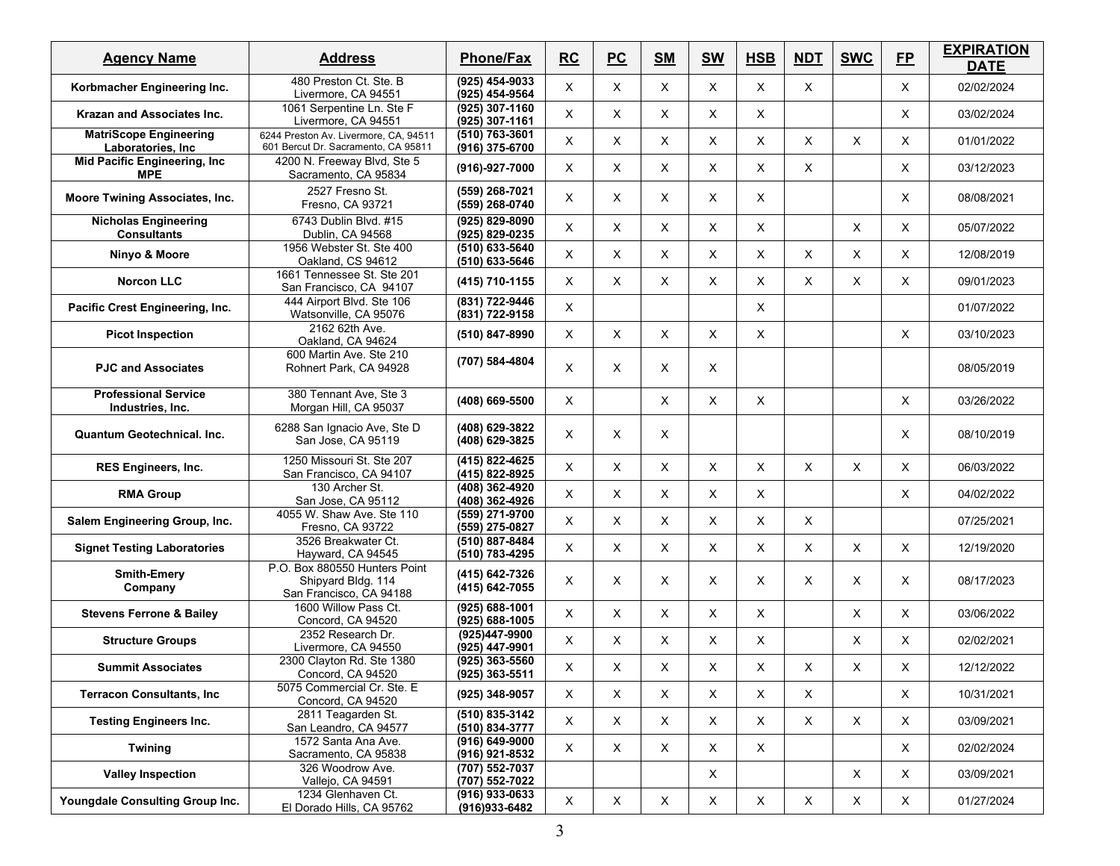| <b>Agency Name</b>                                 | <b>Address</b>                                                                 | <b>Phone/Fax</b>                   | <b>RC</b>    | PC                        | <b>SM</b> | <b>SW</b>    | <b>HSB</b>   | <b>NDT</b>  | <b>SWC</b>  | <b>FP</b>   | <b>EXPIRATION</b><br><b>DATE</b> |
|----------------------------------------------------|--------------------------------------------------------------------------------|------------------------------------|--------------|---------------------------|-----------|--------------|--------------|-------------|-------------|-------------|----------------------------------|
| Korbmacher Engineering Inc.                        | 480 Preston Ct. Ste. B<br>Livermore, CA 94551                                  | (925) 454-9033<br>(925) 454-9564   | X            | X                         | X         | X            | $\mathsf{X}$ | X.          |             | X           | 02/02/2024                       |
| <b>Krazan and Associates Inc.</b>                  | 1061 Serpentine Ln. Ste F<br>Livermore, CA 94551                               | (925) 307-1160<br>(925) 307-1161   | X            | X                         | X         | X            | $\times$     |             |             | X           | 03/02/2024                       |
| <b>MatriScope Engineering</b><br>Laboratories, Inc | 6244 Preston Av. Livermore, CA, 94511<br>601 Bercut Dr. Sacramento, CA 95811   | (510) 763-3601<br>(916) 375-6700   | X            | X                         | X         | Χ            | X            | X           | X           | X           | 01/01/2022                       |
| Mid Pacific Engineering, Inc<br><b>MPE</b>         | 4200 N. Freeway Blvd, Ste 5<br>Sacramento, CA 95834                            | (916)-927-7000                     | X            | X                         | X         | X            | $\mathsf{X}$ | X.          |             | X           | 03/12/2023                       |
| Moore Twining Associates, Inc.                     | 2527 Fresno St.<br>Fresno, CA 93721                                            | (559) 268-7021<br>(559) 268-0740   | X            | X                         | X         | Χ            | X            |             |             | X           | 08/08/2021                       |
| <b>Nicholas Engineering</b><br><b>Consultants</b>  | 6743 Dublin Blvd. #15<br>Dublin, CA 94568                                      | (925) 829-8090<br>(925) 829-0235   | X            | X                         | X         | X            | X            |             | X           | X           | 05/07/2022                       |
| Ninyo & Moore                                      | 1956 Webster St. Ste 400<br>Oakland, CS 94612                                  | (510) 633-5640<br>(510) 633-5646   | X            | X                         | X         | X            | X            | X           | X           | X           | 12/08/2019                       |
| <b>Norcon LLC</b>                                  | 1661 Tennessee St. Ste 201<br>San Francisco, CA 94107                          | (415) 710-1155                     | X            | X                         | X         | Χ            | X            | X.          | X           | X           | 09/01/2023                       |
| Pacific Crest Engineering, Inc.                    | 444 Airport Blvd. Ste 106<br>Watsonville, CA 95076                             | (831) 722-9446<br>(831) 722-9158   | X            |                           |           |              | $\mathsf{X}$ |             |             |             | 01/07/2022                       |
| <b>Picot Inspection</b>                            | 2162 62th Ave.<br>Oakland, CA 94624                                            | (510) 847-8990                     | X            | X                         | X         | X            | X            |             |             | X           | 03/10/2023                       |
| <b>PJC and Associates</b>                          | 600 Martin Ave. Ste 210<br>Rohnert Park, CA 94928                              | (707) 584-4804                     | X            | X                         | X         | X            |              |             |             |             | 08/05/2019                       |
| <b>Professional Service</b><br>Industries, Inc.    | 380 Tennant Ave, Ste 3<br>Morgan Hill, CA 95037                                | (408) 669-5500                     | X            |                           | X         | X            | $\mathsf{X}$ |             |             | X           | 03/26/2022                       |
| <b>Quantum Geotechnical, Inc.</b>                  | 6288 San Ignacio Ave, Ste D<br>San Jose, CA 95119                              | (408) 629-3822<br>(408) 629-3825   | X            | X                         | X         |              |              |             |             | X           | 08/10/2019                       |
| <b>RES Engineers, Inc.</b>                         | 1250 Missouri St. Ste 207<br>San Francisco, CA 94107                           | (415) 822-4625<br>(415) 822-8925   | X            | X                         | X         | Χ            | X            | X.          | X           | X           | 06/03/2022                       |
| <b>RMA Group</b>                                   | 130 Archer St.<br>San Jose, CA 95112                                           | (408) 362-4920<br>(408) 362-4926   | X            | $\times$                  | X         | X            | $\mathsf{X}$ |             |             | X           | 04/02/2022                       |
| Salem Engineering Group, Inc.                      | 4055 W. Shaw Ave. Ste 110<br>Fresno, CA 93722                                  | (559) 271-9700<br>(559) 275-0827   | X            | X                         | X         | X            | X            | X           |             |             | 07/25/2021                       |
| <b>Signet Testing Laboratories</b>                 | 3526 Breakwater Ct.<br>Hayward, CA 94545                                       | (510) 887-8484<br>(510) 783-4295   | X            | X                         | X         | X            | $\times$     | X           | X           | X           | 12/19/2020                       |
| <b>Smith-Emery</b><br>Company                      | P.O. Box 880550 Hunters Point<br>Shipyard Bldg. 114<br>San Francisco, CA 94188 | (415) 642-7326<br>(415) 642-7055   | X            | X                         | X         | X            | X            | X           | X           | X           | 08/17/2023                       |
| <b>Stevens Ferrone &amp; Bailey</b>                | 1600 Willow Pass Ct.<br>Concord, CA 94520                                      | (925) 688-1001<br>(925) 688-1005   | X            | X                         | X         | X            | X            |             | X           | X           | 03/06/2022                       |
| <b>Structure Groups</b>                            | 2352 Research Dr.<br>Livermore, CA 94550                                       | (925)447-9900<br>(925) 447-9901    | X            | X                         | X         | $\times$     | $\times$     |             | X           | X           | 02/02/2021                       |
| <b>Summit Associates</b>                           | 2300 Clayton Rd. Ste 1380<br>Concord, CA 94520                                 | (925) 363-5560<br>$(925)$ 363-5511 | X            | X                         | X         | Х            | X            | Χ           | X           | X           | 12/12/2022                       |
| <b>Terracon Consultants, Inc</b>                   | 5075 Commercial Cr. Ste. E<br>Concord, CA 94520                                | (925) 348-9057                     | $\times$     | X                         | X         | X            | $\mathsf X$  | X           |             | X           | 10/31/2021                       |
| <b>Testing Engineers Inc.</b>                      | 2811 Teagarden St.<br>San Leandro, CA 94577                                    | (510) 835-3142<br>(510) 834-3777   | $\times$     | $\boldsymbol{\mathsf{X}}$ | X         | X            | X            | X           | $\mathsf X$ | X           | 03/09/2021                       |
| <b>Twining</b>                                     | 1572 Santa Ana Ave.<br>Sacramento, CA 95838                                    | (916) 649-9000<br>(916) 921-8532   | $\times$     | $\mathsf X$               | X         | X            | $\mathsf{X}$ |             |             | X           | 02/02/2024                       |
| <b>Valley Inspection</b>                           | 326 Woodrow Ave.<br>Vallejo, CA 94591                                          | (707) 552-7037<br>(707) 552-7022   |              |                           |           | $\mathsf{X}$ |              |             | X           | X           | 03/09/2021                       |
| Youngdale Consulting Group Inc.                    | 1234 Glenhaven Ct.<br>El Dorado Hills, CA 95762                                | (916) 933-0633<br>(916) 933-6482   | $\mathsf{X}$ | $\mathsf X$               | X         | $\mathsf X$  | $\mathsf X$  | $\mathsf X$ | $\mathsf X$ | $\mathsf X$ | 01/27/2024                       |